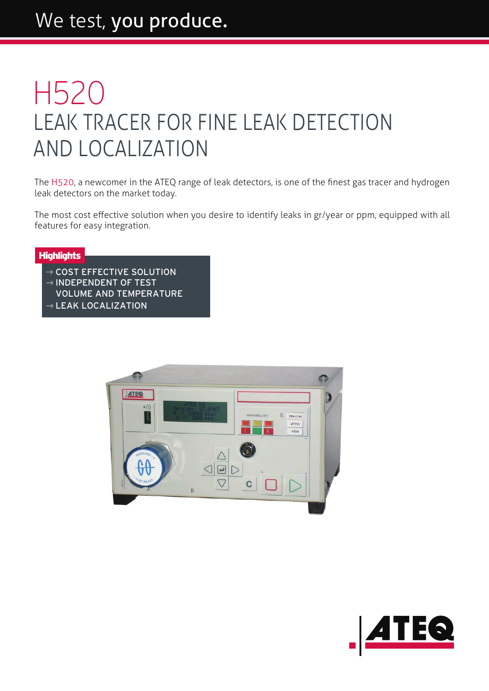## We test, you produce.

## LEAK TRACER FOR FINE LEAK DETECTION AND LOCALIZATION H520

The H520, a newcomer in the ATEQ range of leak detectors, is one of the finest gas tracer and hydrogen leak detectors on the market today.

The most cost effective solution when you desire to identify leaks in gr/year or ppm, equipped with all features for easy integration.

## **Highlights**

- $\rightarrow$  COST EFFECTIVE SOLUTION
- $\rightarrow$  INDEPENDENT OF TEST
- VOLUME AND TEMPERATURE
- $\rightarrow$  LEAK LOCALIZATION